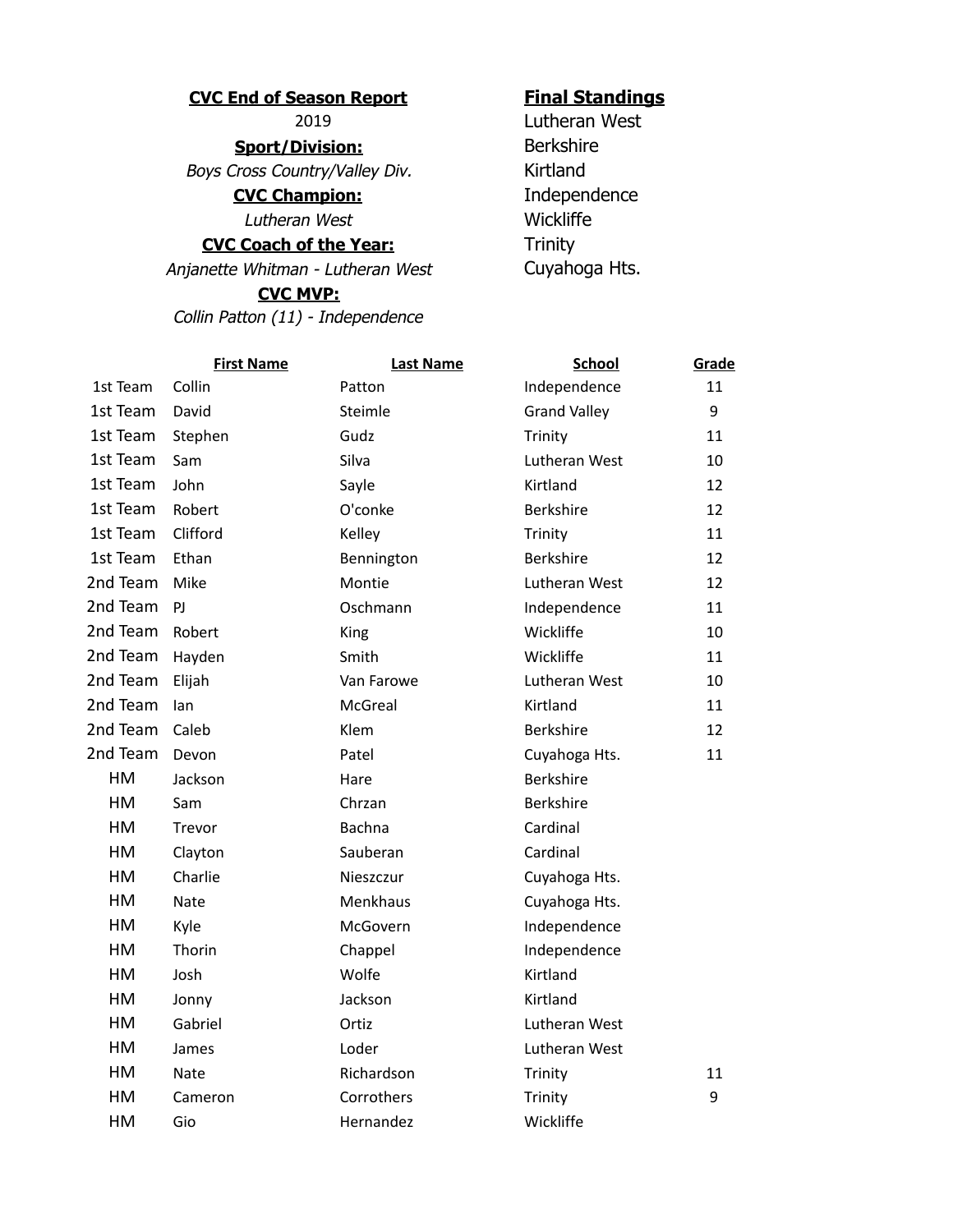## **CVC End of Season Report Final Standings**

**Sport/Division:** Berkshire Boys Cross Country/Valley Div. Kirtland

**CVC Champion:** Independence

Lutheran West Wickliffe

## **CVC Coach of the Year:** Trinity

Anjanette Whitman - Lutheran West Cuyahoga Hts.

## **CVC MVP:**

Collin Patton (11) - Independence

2019 Lutheran West

|          | <b>First Name</b> | <b>Last Name</b> | <b>School</b>       | Grade |
|----------|-------------------|------------------|---------------------|-------|
| 1st Team | Collin            | Patton           | Independence        | 11    |
| 1st Team | David             | Steimle          | <b>Grand Valley</b> | 9     |
| 1st Team | Stephen           | Gudz             | Trinity             | 11    |
| 1st Team | Sam               | Silva            | Lutheran West       | 10    |
| 1st Team | John              | Sayle            | Kirtland            | 12    |
| 1st Team | Robert            | O'conke          | <b>Berkshire</b>    | 12    |
| 1st Team | Clifford          | Kelley           | Trinity             | 11    |
| 1st Team | Ethan             | Bennington       | Berkshire           | 12    |
| 2nd Team | Mike              | Montie           | Lutheran West       | 12    |
| 2nd Team | PJ.               | Oschmann         | Independence        | 11    |
| 2nd Team | Robert            | King             | Wickliffe           | 10    |
| 2nd Team | Hayden            | Smith            | Wickliffe           | 11    |
| 2nd Team | Elijah            | Van Farowe       | Lutheran West       | 10    |
| 2nd Team | lan               | McGreal          | Kirtland            | 11    |
| 2nd Team | Caleb             | Klem             | Berkshire           | 12    |
| 2nd Team | Devon             | Patel            | Cuyahoga Hts.       | 11    |
| HM       | Jackson           | Hare             | Berkshire           |       |
| HM       | Sam               | Chrzan           | Berkshire           |       |
| HM       | Trevor            | Bachna           | Cardinal            |       |
| HM       | Clayton           | Sauberan         | Cardinal            |       |
| HM       | Charlie           | Nieszczur        | Cuyahoga Hts.       |       |
| HM       | Nate              | Menkhaus         | Cuyahoga Hts.       |       |
| HM       | Kyle              | McGovern         | Independence        |       |
| HM       | Thorin            | Chappel          | Independence        |       |
| HM       | Josh              | Wolfe            | Kirtland            |       |
| HM       | Jonny             | Jackson          | Kirtland            |       |
| HM       | Gabriel           | Ortiz            | Lutheran West       |       |
| HM       | James             | Loder            | Lutheran West       |       |
| HM       | Nate              | Richardson       | Trinity             | 11    |
| HM       | Cameron           | Corrothers       | Trinity             | 9     |
| HM       | Gio               | Hernandez        | Wickliffe           |       |